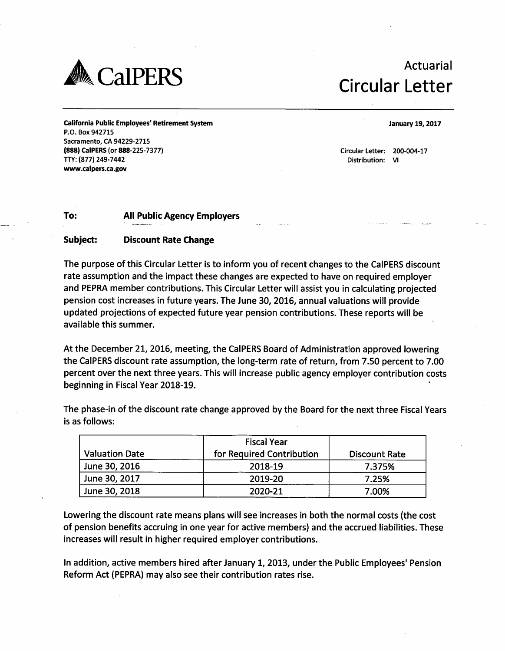

## **ACCALLERS Actuarial**

California Public Employees' Retirement System P.O. Box 942715 Sacramento, CA 94229-2715 (888) CalPERS (or 888-225-7377) TTY: (877) 249-7442 www.calpers.ca .gov

January 19,2017

Circular Letter: 200-004-17 Distribution: VI

## To: All Public Agency Employers

## Subject: Discount Rate Change

The purpose of this Circular Letter is to inform you of recent changes to the CalPERS discount rate assumption and the impact these changes are expected to have on required employer and PEPRA member contributions. This Circular Letter will assist you in calculating projected pension cost increases in future years. The June 30, 2016, annual valuations will provide updated projections of expected future year pension contributions. These reports will be a vai lable this summer.

At the December 21, 2016, meeting, the CalPERS Board of Administration approved lowering the CalPERS discount rate assumption, the long-term rate of return, from 7.50 percent to 7.00 percent over the next three years. This will increase public agency employer contribution costs beginning in Fiscal Year 2018-19.

The phase-in of the discount rate change approved by the Board for the next three Fiscal Years is as follows:

| <b>Valuation Date</b> | <b>Fiscal Year</b><br>for Required Contribution | <b>Discount Rate</b> |  |
|-----------------------|-------------------------------------------------|----------------------|--|
| June 30, 2016         | 2018-19                                         | 7.375%               |  |
| June 30, 2017         | 2019-20                                         | 7.25%                |  |
| June 30, 2018         | 2020-21                                         | 7.00%                |  |

Lowering the discount rate means plans will see increases in both the normal costs (the cost of pension benefits accruing in one year for active members) and the accrued liabilities. These increases will result in higher required employer contributions.

In addition, active members hired after January 1, 2013, under the Public Employees' Pension Reform Act (PEPRA) may also see their contribution rates rise.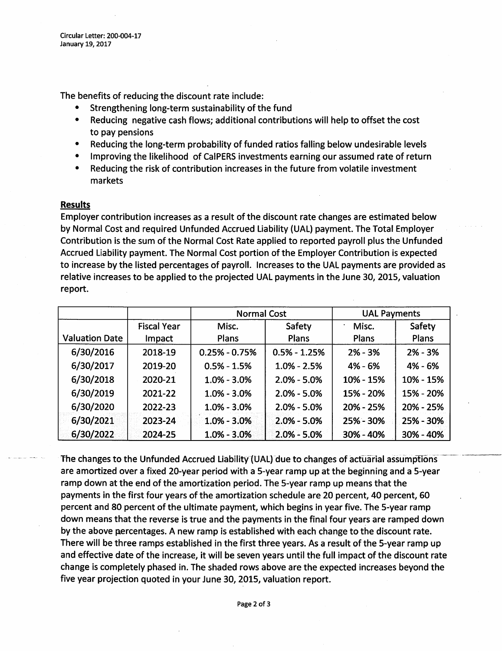The benefits of reducing the discount rate include:

- Strengthening long-term sustainability of the fund
- Reducing negative cash flows; additional contributions will help to offset the cost to pay pensions
- Reducing the long-term probability of funded ratios falling below undesirable levels
- Improving the likelihood of CalPERS investments earning our assumed rate of return
- Reducing the risk of contribution increases in the future from volatile investment markets

## Results

Employer contribution increases as a result of the discount rate changes are estimated below by Normal Cost and required Unfunded Accrued Liability (UAL) payment. The Total Employer Contribution is the sum of the Normal Cost Rate applied to reported payroll plus the Unfunded Accrued Liability payment. The Normal Cost portion of the Employer Contribution is expected to increase by the listed percentages of payroll. Increases to the UAL payments are provided as relative increases to be applied to the projected UAL payments in the June 30, 2015, valuation report.

|                       |                    | <b>Normal Cost</b> |                  | <b>UAL Payments</b> |               |
|-----------------------|--------------------|--------------------|------------------|---------------------|---------------|
|                       | <b>Fiscal Year</b> | Misc.              | Safety           | Misc.               | Safety        |
| <b>Valuation Date</b> | Impact             | <b>Plans</b>       | Plans            | Plans               | Plans         |
| 6/30/2016             | 2018-19            | $0.25\% - 0.75\%$  | $0.5\% - 1.25\%$ | $2% - 3%$           | $2% - 3%$     |
| 6/30/2017             | 2019-20            | $0.5% - 1.5%$      | $1.0\% - 2.5\%$  | $4% - 6%$           | 4% - 6%       |
| 6/30/2018             | 2020-21            | $1.0\% - 3.0\%$    | $2.0\% - 5.0\%$  | 10% - 15%           | 10% - 15%     |
| 6/30/2019             | 2021-22            | $1.0\% - 3.0\%$    | $2.0\% - 5.0\%$  | 15% - 20%           | 15% - 20%     |
| 6/30/2020             | 2022-23            | $1.0\% - 3.0\%$    | $2.0\% - 5.0\%$  | 20% - 25%           | 20% - 25%     |
| 6/30/2021             | 2023-24            | $1.0\% - 3.0\%$    | $2.0\% - 5.0\%$  | 25% - 30%           | 25% - 30%     |
| 6/30/2022             | 2024-25            | $1.0\% - 3.0\%$    | $2.0\% - 5.0\%$  | 30% - 40%           | $30\% - 40\%$ |

The changes to the Unfunded Accrued Liability (UAL) due to changes of actuarial assumptions are amortized over a fixed 20-year period with a 5-year ramp up at the beginning and a 5-year ramp down at the end of the amortization period. The 5-year ramp up means that the payments in the first four years of the amortization schedule are 20 percent, 40 percent, 60 percent and 80 percent of the ultimate payment, which begins in year five. The 5-year ramp down means that the reverse is true and the payments in the final four years are ramped down by the above percentages. A new ramp is established with each change to the discount rate. There will be three ramps established in the first three years. As a result of the 5-year ramp up and effective date of the increase, it will be seven years until the full impact of the discount rate change is completely phased in. The shaded rows above are the expected increases beyond the five year projection quoted in your June 30, 2015, valuation report.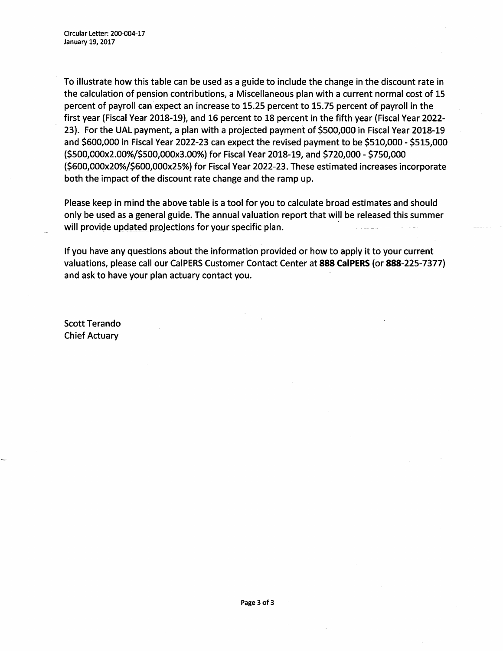To illustrate how this table can be used as a guide to include the change in the discount rate in the calculation of pension contributions, a Miscellaneous plan with a current normal cost of 15 percent of payroll can expect an increase to 15.25 percent to 15.75 percent of payroll in the first year (Fiscal Year 2018-19), and 16 percent to 18 percent in the fifth year (Fiscal Year 2022- 23). For the UAL payment, a plan with a projected payment of \$500,000 in Fiscal Year 2018-19 and \$600,000 in Fiscal Year 2022-23 can expect the revised payment to be \$510,000 - \$515,000 (\$500,000x2.00%/\$500,000x3.00%) for Fiscal Year 2018-19, and \$720,000 - \$750,000 (\$600,000x20%/\$600,000x25%) for Fiscal Year 2022-23. These estimated increases incorporate both the impact of the discount rate change and the ramp up.

Please keep in mind the above table is a tool for you to calculate broad estimates and should only be used as a general guide. The annual valuation report that will be released this summer will provide updated projections for your specific plan.

If you have any questions about the information provided or how to apply it to your current valuations, please call our CalPERS Customer Contact Center at 888 CalPERS (or 888-225-7377) and ask to have your plan actuary contact you.

Scott Terando Chief Actuary